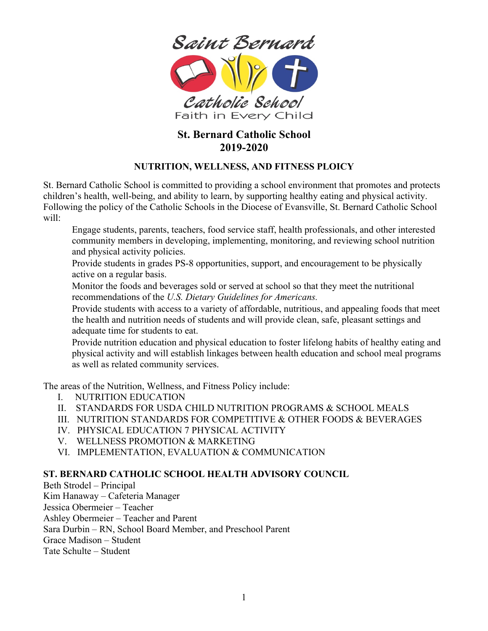

# **St. Bernard Catholic School 2019-2020**

# **NUTRITION, WELLNESS, AND FITNESS PLOICY**

St. Bernard Catholic School is committed to providing a school environment that promotes and protects children's health, well-being, and ability to learn, by supporting healthy eating and physical activity. Following the policy of the Catholic Schools in the Diocese of Evansville, St. Bernard Catholic School will:

 Engage students, parents, teachers, food service staff, health professionals, and other interested community members in developing, implementing, monitoring, and reviewing school nutrition and physical activity policies.

 Provide students in grades PS-8 opportunities, support, and encouragement to be physically active on a regular basis.

 Monitor the foods and beverages sold or served at school so that they meet the nutritional recommendations of the *U.S. Dietary Guidelines for Americans.*

 Provide students with access to a variety of affordable, nutritious, and appealing foods that meet the health and nutrition needs of students and will provide clean, safe, pleasant settings and adequate time for students to eat.

 Provide nutrition education and physical education to foster lifelong habits of healthy eating and physical activity and will establish linkages between health education and school meal programs as well as related community services.

The areas of the Nutrition, Wellness, and Fitness Policy include:

- I. NUTRITION EDUCATION
- II. STANDARDS FOR USDA CHILD NUTRITION PROGRAMS & SCHOOL MEALS
- III. NUTRITION STANDARDS FOR COMPETITIVE & OTHER FOODS & BEVERAGES
- IV. PHYSICAL EDUCATION 7 PHYSICAL ACTIVITY
- V. WELLNESS PROMOTION & MARKETING
- VI. IMPLEMENTATION, EVALUATION & COMMUNICATION

# **ST. BERNARD CATHOLIC SCHOOL HEALTH ADVISORY COUNCIL**

Beth Strodel – Principal Kim Hanaway – Cafeteria Manager Jessica Obermeier – Teacher Ashley Obermeier – Teacher and Parent Sara Durbin – RN, School Board Member, and Preschool Parent Grace Madison – Student

Tate Schulte – Student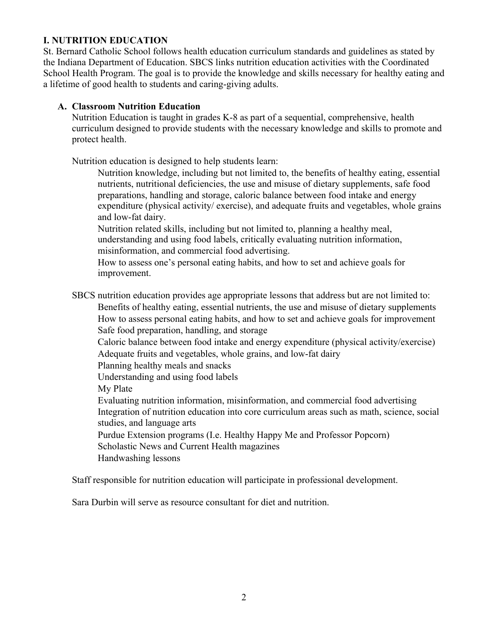## **I. NUTRITION EDUCATION**

St. Bernard Catholic School follows health education curriculum standards and guidelines as stated by the Indiana Department of Education. SBCS links nutrition education activities with the Coordinated School Health Program. The goal is to provide the knowledge and skills necessary for healthy eating and a lifetime of good health to students and caring-giving adults.

## **A. Classroom Nutrition Education**

Nutrition Education is taught in grades K-8 as part of a sequential, comprehensive, health curriculum designed to provide students with the necessary knowledge and skills to promote and protect health.

Nutrition education is designed to help students learn:

 Nutrition knowledge, including but not limited to, the benefits of healthy eating, essential nutrients, nutritional deficiencies, the use and misuse of dietary supplements, safe food preparations, handling and storage, caloric balance between food intake and energy expenditure (physical activity/ exercise), and adequate fruits and vegetables, whole grains and low-fat dairy.

 Nutrition related skills, including but not limited to, planning a healthy meal, understanding and using food labels, critically evaluating nutrition information, misinformation, and commercial food advertising.

 How to assess one's personal eating habits, and how to set and achieve goals for improvement.

SBCS nutrition education provides age appropriate lessons that address but are not limited to:

 Benefits of healthy eating, essential nutrients, the use and misuse of dietary supplements How to assess personal eating habits, and how to set and achieve goals for improvement Safe food preparation, handling, and storage

 Caloric balance between food intake and energy expenditure (physical activity/exercise) Adequate fruits and vegetables, whole grains, and low-fat dairy

Planning healthy meals and snacks

Understanding and using food labels

My Plate

 Evaluating nutrition information, misinformation, and commercial food advertising Integration of nutrition education into core curriculum areas such as math, science, social studies, and language arts

 Purdue Extension programs (I.e. Healthy Happy Me and Professor Popcorn) Scholastic News and Current Health magazines Handwashing lessons

Staff responsible for nutrition education will participate in professional development.

Sara Durbin will serve as resource consultant for diet and nutrition.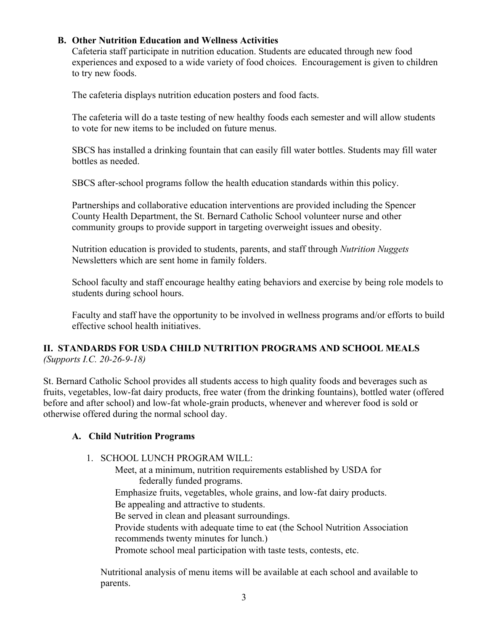# **B. Other Nutrition Education and Wellness Activities**

Cafeteria staff participate in nutrition education. Students are educated through new food experiences and exposed to a wide variety of food choices. Encouragement is given to children to try new foods.

The cafeteria displays nutrition education posters and food facts.

The cafeteria will do a taste testing of new healthy foods each semester and will allow students to vote for new items to be included on future menus.

SBCS has installed a drinking fountain that can easily fill water bottles. Students may fill water bottles as needed.

SBCS after-school programs follow the health education standards within this policy.

Partnerships and collaborative education interventions are provided including the Spencer County Health Department, the St. Bernard Catholic School volunteer nurse and other community groups to provide support in targeting overweight issues and obesity.

Nutrition education is provided to students, parents, and staff through *Nutrition Nuggets*  Newsletters which are sent home in family folders.

School faculty and staff encourage healthy eating behaviors and exercise by being role models to students during school hours.

Faculty and staff have the opportunity to be involved in wellness programs and/or efforts to build effective school health initiatives.

# **II. STANDARDS FOR USDA CHILD NUTRITION PROGRAMS AND SCHOOL MEALS**  *(Supports I.C. 20-26-9-18)*

St. Bernard Catholic School provides all students access to high quality foods and beverages such as fruits, vegetables, low-fat dairy products, free water (from the drinking fountains), bottled water (offered before and after school) and low-fat whole-grain products, whenever and wherever food is sold or otherwise offered during the normal school day.

# **A. Child Nutrition Programs**

# 1. SCHOOL LUNCH PROGRAM WILL:

 Meet, at a minimum, nutrition requirements established by USDA for federally funded programs.

 Emphasize fruits, vegetables, whole grains, and low-fat dairy products. Be appealing and attractive to students.

Be served in clean and pleasant surroundings.

 Provide students with adequate time to eat (the School Nutrition Association recommends twenty minutes for lunch.)

Promote school meal participation with taste tests, contests, etc.

Nutritional analysis of menu items will be available at each school and available to parents.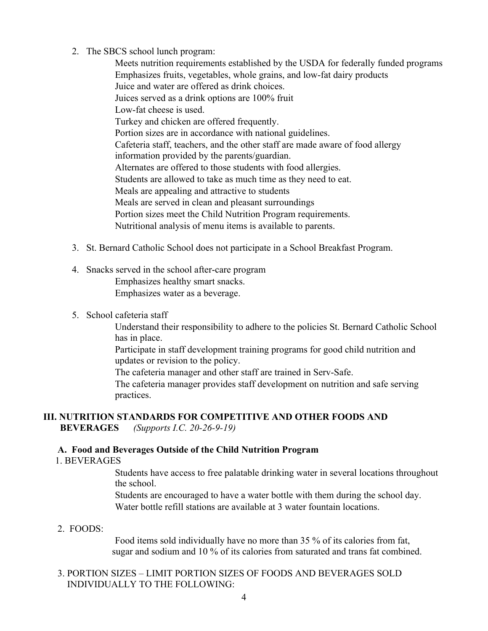2. The SBCS school lunch program:

 Meets nutrition requirements established by the USDA for federally funded programs Emphasizes fruits, vegetables, whole grains, and low-fat dairy products Juice and water are offered as drink choices. Juices served as a drink options are 100% fruit Low-fat cheese is used. Turkey and chicken are offered frequently. Portion sizes are in accordance with national guidelines. Cafeteria staff, teachers, and the other staff are made aware of food allergy information provided by the parents/guardian. Alternates are offered to those students with food allergies. Students are allowed to take as much time as they need to eat. Meals are appealing and attractive to students Meals are served in clean and pleasant surroundings Portion sizes meet the Child Nutrition Program requirements. Nutritional analysis of menu items is available to parents.

- 3. St. Bernard Catholic School does not participate in a School Breakfast Program.
- 4. Snacks served in the school after-care program

 Emphasizes healthy smart snacks. Emphasizes water as a beverage.

#### 5. School cafeteria staff

 Understand their responsibility to adhere to the policies St. Bernard Catholic School has in place.

 Participate in staff development training programs for good child nutrition and updates or revision to the policy.

The cafeteria manager and other staff are trained in Serv-Safe.

 The cafeteria manager provides staff development on nutrition and safe serving practices.

# **III. NUTRITION STANDARDS FOR COMPETITIVE AND OTHER FOODS AND**

 **BEVERAGES** *(Supports I.C. 20-26-9-19)*

# **A. Food and Beverages Outside of the Child Nutrition Program**

1. BEVERAGES

 Students have access to free palatable drinking water in several locations throughout the school.

 Students are encouraged to have a water bottle with them during the school day. Water bottle refill stations are available at 3 water fountain locations.

#### 2. FOODS:

 Food items sold individually have no more than 35 % of its calories from fat, sugar and sodium and 10 % of its calories from saturated and trans fat combined.

## 3. PORTION SIZES – LIMIT PORTION SIZES OF FOODS AND BEVERAGES SOLD INDIVIDUALLY TO THE FOLLOWING: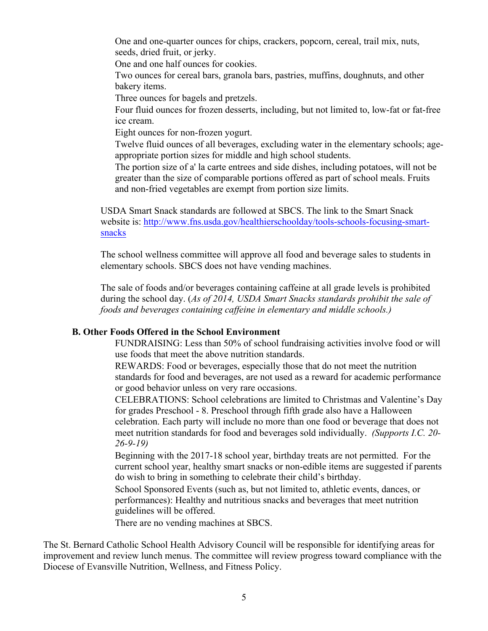One and one-quarter ounces for chips, crackers, popcorn, cereal, trail mix, nuts, seeds, dried fruit, or jerky.

One and one half ounces for cookies.

 Two ounces for cereal bars, granola bars, pastries, muffins, doughnuts, and other bakery items.

Three ounces for bagels and pretzels.

 Four fluid ounces for frozen desserts, including, but not limited to, low-fat or fat-free ice cream.

Eight ounces for non-frozen yogurt.

 Twelve fluid ounces of all beverages, excluding water in the elementary schools; ageappropriate portion sizes for middle and high school students.

 The portion size of a' la carte entrees and side dishes, including potatoes, will not be greater than the size of comparable portions offered as part of school meals. Fruits and non-fried vegetables are exempt from portion size limits.

USDA Smart Snack standards are followed at SBCS. The link to the Smart Snack website is: http://www.fns.usda.gov/healthierschoolday/tools-schools-focusing-smartsnacks

The school wellness committee will approve all food and beverage sales to students in elementary schools. SBCS does not have vending machines.

The sale of foods and/or beverages containing caffeine at all grade levels is prohibited during the school day. (*As of 2014, USDA Smart Snacks standards prohibit the sale of foods and beverages containing caffeine in elementary and middle schools.)*

# **B. Other Foods Offered in the School Environment**

 FUNDRAISING: Less than 50% of school fundraising activities involve food or will use foods that meet the above nutrition standards.

 REWARDS: Food or beverages, especially those that do not meet the nutrition standards for food and beverages, are not used as a reward for academic performance or good behavior unless on very rare occasions.

 CELEBRATIONS: School celebrations are limited to Christmas and Valentine's Day for grades Preschool - 8. Preschool through fifth grade also have a Halloween celebration. Each party will include no more than one food or beverage that does not meet nutrition standards for food and beverages sold individually. *(Supports I.C. 20- 26-9-19)*

 Beginning with the 2017-18 school year, birthday treats are not permitted. For the current school year, healthy smart snacks or non-edible items are suggested if parents do wish to bring in something to celebrate their child's birthday.

 School Sponsored Events (such as, but not limited to, athletic events, dances, or performances): Healthy and nutritious snacks and beverages that meet nutrition guidelines will be offered.

There are no vending machines at SBCS.

The St. Bernard Catholic School Health Advisory Council will be responsible for identifying areas for improvement and review lunch menus. The committee will review progress toward compliance with the Diocese of Evansville Nutrition, Wellness, and Fitness Policy.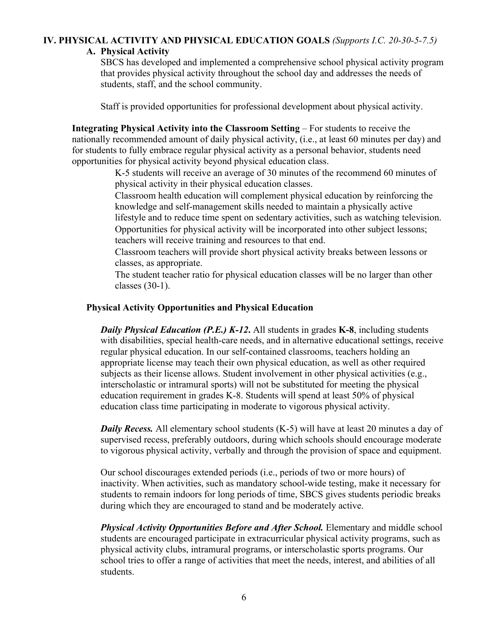# **IV. PHYSICAL ACTIVITY AND PHYSICAL EDUCATION GOALS** *(Supports I.C. 20-30-5-7.5)*

# **A. Physical Activity**

SBCS has developed and implemented a comprehensive school physical activity program that provides physical activity throughout the school day and addresses the needs of students, staff, and the school community.

Staff is provided opportunities for professional development about physical activity.

**Integrating Physical Activity into the Classroom Setting** – For students to receive the nationally recommended amount of daily physical activity, (i.e., at least 60 minutes per day) and for students to fully embrace regular physical activity as a personal behavior, students need opportunities for physical activity beyond physical education class.

> K-5 students will receive an average of 30 minutes of the recommend 60 minutes of physical activity in their physical education classes.

 Classroom health education will complement physical education by reinforcing the knowledge and self-management skills needed to maintain a physically active lifestyle and to reduce time spent on sedentary activities, such as watching television. Opportunities for physical activity will be incorporated into other subject lessons; teachers will receive training and resources to that end.

 Classroom teachers will provide short physical activity breaks between lessons or classes, as appropriate.

 The student teacher ratio for physical education classes will be no larger than other classes (30-1).

## **Physical Activity Opportunities and Physical Education**

*Daily Physical Education (P.E.) K-12***.** All students in grades **K-8**, including students with disabilities, special health-care needs, and in alternative educational settings, receive regular physical education. In our self-contained classrooms, teachers holding an appropriate license may teach their own physical education, as well as other required subjects as their license allows. Student involvement in other physical activities (e.g., interscholastic or intramural sports) will not be substituted for meeting the physical education requirement in grades K-8. Students will spend at least 50% of physical education class time participating in moderate to vigorous physical activity.

*Daily Recess.* All elementary school students (K-5) will have at least 20 minutes a day of supervised recess, preferably outdoors, during which schools should encourage moderate to vigorous physical activity, verbally and through the provision of space and equipment.

Our school discourages extended periods (i.e., periods of two or more hours) of inactivity. When activities, such as mandatory school-wide testing, make it necessary for students to remain indoors for long periods of time, SBCS gives students periodic breaks during which they are encouraged to stand and be moderately active.

*Physical Activity Opportunities Before and After School.* Elementary and middle school students are encouraged participate in extracurricular physical activity programs, such as physical activity clubs, intramural programs, or interscholastic sports programs. Our school tries to offer a range of activities that meet the needs, interest, and abilities of all students.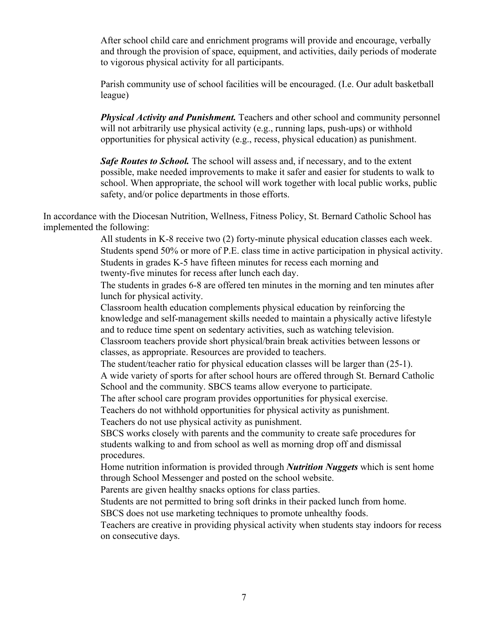After school child care and enrichment programs will provide and encourage, verbally and through the provision of space, equipment, and activities, daily periods of moderate to vigorous physical activity for all participants.

Parish community use of school facilities will be encouraged. (I.e. Our adult basketball league)

*Physical Activity and Punishment.* Teachers and other school and community personnel will not arbitrarily use physical activity (e.g., running laps, push-ups) or withhold opportunities for physical activity (e.g., recess, physical education) as punishment.

**Safe Routes to School.** The school will assess and, if necessary, and to the extent possible, make needed improvements to make it safer and easier for students to walk to school. When appropriate, the school will work together with local public works, public safety, and/or police departments in those efforts.

In accordance with the Diocesan Nutrition, Wellness, Fitness Policy, St. Bernard Catholic School has implemented the following:

> All students in K-8 receive two (2) forty-minute physical education classes each week. Students spend 50% or more of P.E. class time in active participation in physical activity. Students in grades K-5 have fifteen minutes for recess each morning and twenty-five minutes for recess after lunch each day.

 The students in grades 6-8 are offered ten minutes in the morning and ten minutes after lunch for physical activity.

 Classroom health education complements physical education by reinforcing the knowledge and self-management skills needed to maintain a physically active lifestyle and to reduce time spent on sedentary activities, such as watching television.

 Classroom teachers provide short physical/brain break activities between lessons or classes, as appropriate. Resources are provided to teachers.

The student/teacher ratio for physical education classes will be larger than (25-1).

 A wide variety of sports for after school hours are offered through St. Bernard Catholic School and the community. SBCS teams allow everyone to participate.

The after school care program provides opportunities for physical exercise.

Teachers do not withhold opportunities for physical activity as punishment.

Teachers do not use physical activity as punishment.

 SBCS works closely with parents and the community to create safe procedures for students walking to and from school as well as morning drop off and dismissal procedures.

 Home nutrition information is provided through *Nutrition Nuggets* which is sent home through School Messenger and posted on the school website.

Parents are given healthy snacks options for class parties.

Students are not permitted to bring soft drinks in their packed lunch from home.

SBCS does not use marketing techniques to promote unhealthy foods.

 Teachers are creative in providing physical activity when students stay indoors for recess on consecutive days.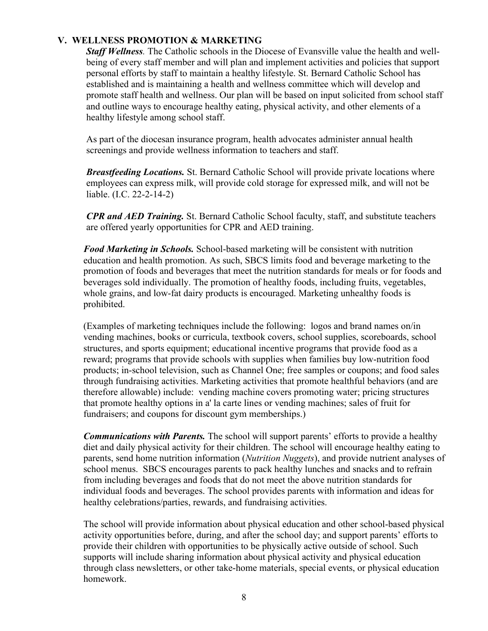## **V. WELLNESS PROMOTION & MARKETING**

*Staff Wellness.* The Catholic schools in the Diocese of Evansville value the health and wellbeing of every staff member and will plan and implement activities and policies that support personal efforts by staff to maintain a healthy lifestyle. St. Bernard Catholic School has established and is maintaining a health and wellness committee which will develop and promote staff health and wellness. Our plan will be based on input solicited from school staff and outline ways to encourage healthy eating, physical activity, and other elements of a healthy lifestyle among school staff.

As part of the diocesan insurance program, health advocates administer annual health screenings and provide wellness information to teachers and staff.

*Breastfeeding Locations.* St. Bernard Catholic School will provide private locations where employees can express milk, will provide cold storage for expressed milk, and will not be liable. (I.C. 22-2-14-2)

*CPR and AED Training.* St. Bernard Catholic School faculty, staff, and substitute teachers are offered yearly opportunities for CPR and AED training.

*Food Marketing in Schools.* School-based marketing will be consistent with nutrition education and health promotion. As such, SBCS limits food and beverage marketing to the promotion of foods and beverages that meet the nutrition standards for meals or for foods and beverages sold individually. The promotion of healthy foods, including fruits, vegetables, whole grains, and low-fat dairy products is encouraged. Marketing unhealthy foods is prohibited.

(Examples of marketing techniques include the following: logos and brand names on/in vending machines, books or curricula, textbook covers, school supplies, scoreboards, school structures, and sports equipment; educational incentive programs that provide food as a reward; programs that provide schools with supplies when families buy low-nutrition food products; in-school television, such as Channel One; free samples or coupons; and food sales through fundraising activities. Marketing activities that promote healthful behaviors (and are therefore allowable) include: vending machine covers promoting water; pricing structures that promote healthy options in a' la carte lines or vending machines; sales of fruit for fundraisers; and coupons for discount gym memberships.)

*Communications with Parents.* The school will support parents' efforts to provide a healthy diet and daily physical activity for their children. The school will encourage healthy eating to parents, send home nutrition information (*Nutrition Nuggets*), and provide nutrient analyses of school menus. SBCS encourages parents to pack healthy lunches and snacks and to refrain from including beverages and foods that do not meet the above nutrition standards for individual foods and beverages. The school provides parents with information and ideas for healthy celebrations/parties, rewards, and fundraising activities.

The school will provide information about physical education and other school-based physical activity opportunities before, during, and after the school day; and support parents' efforts to provide their children with opportunities to be physically active outside of school. Such supports will include sharing information about physical activity and physical education through class newsletters, or other take-home materials, special events, or physical education homework.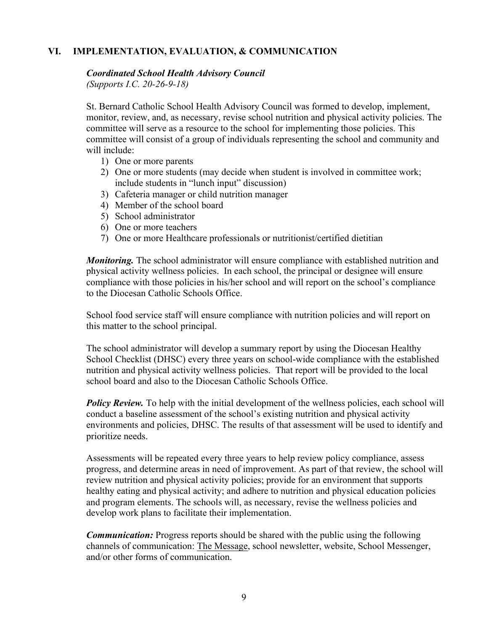## **VI. IMPLEMENTATION, EVALUATION, & COMMUNICATION**

#### *Coordinated School Health Advisory Council*

*(Supports I.C. 20-26-9-18)*

St. Bernard Catholic School Health Advisory Council was formed to develop, implement, monitor, review, and, as necessary, revise school nutrition and physical activity policies. The committee will serve as a resource to the school for implementing those policies. This committee will consist of a group of individuals representing the school and community and will include:

- 1) One or more parents
- 2) One or more students (may decide when student is involved in committee work; include students in "lunch input" discussion)
- 3) Cafeteria manager or child nutrition manager
- 4) Member of the school board
- 5) School administrator
- 6) One or more teachers
- 7) One or more Healthcare professionals or nutritionist/certified dietitian

*Monitoring.* The school administrator will ensure compliance with established nutrition and physical activity wellness policies. In each school, the principal or designee will ensure compliance with those policies in his/her school and will report on the school's compliance to the Diocesan Catholic Schools Office.

School food service staff will ensure compliance with nutrition policies and will report on this matter to the school principal.

The school administrator will develop a summary report by using the Diocesan Healthy School Checklist (DHSC) every three years on school-wide compliance with the established nutrition and physical activity wellness policies. That report will be provided to the local school board and also to the Diocesan Catholic Schools Office.

**Policy Review.** To help with the initial development of the wellness policies, each school will conduct a baseline assessment of the school's existing nutrition and physical activity environments and policies, DHSC. The results of that assessment will be used to identify and prioritize needs.

Assessments will be repeated every three years to help review policy compliance, assess progress, and determine areas in need of improvement. As part of that review, the school will review nutrition and physical activity policies; provide for an environment that supports healthy eating and physical activity; and adhere to nutrition and physical education policies and program elements. The schools will, as necessary, revise the wellness policies and develop work plans to facilitate their implementation.

*Communication:* Progress reports should be shared with the public using the following channels of communication: The Message, school newsletter, website, School Messenger, and/or other forms of communication.